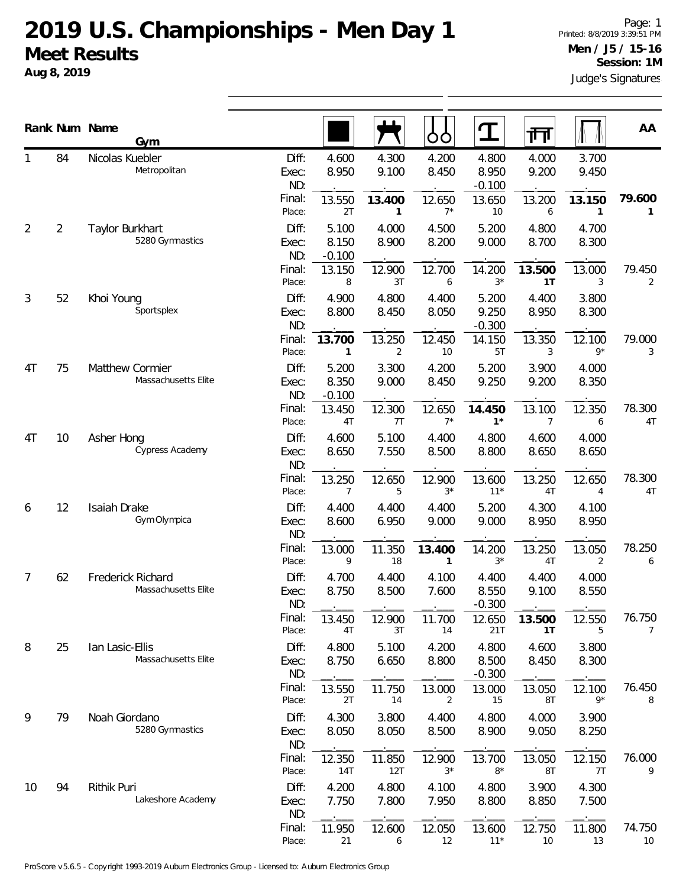## **2019 U.S. Championships - Men Day 1 Meet Results**

**Aug 8, 2019**

|                | Rank Num Name  | Gym                                      |                                 |                                  |                          | O<br>Ő                   |                                      | 帀                        |                          | AA                       |
|----------------|----------------|------------------------------------------|---------------------------------|----------------------------------|--------------------------|--------------------------|--------------------------------------|--------------------------|--------------------------|--------------------------|
|                | 84             | Nicolas Kuebler<br>Metropolitan          | Diff:<br>Exec:<br>ND:<br>Final: | 4.600<br>8.950<br>13.550         | 4.300<br>9.100<br>13.400 | 4.200<br>8.450<br>12.650 | 4.800<br>8.950<br>$-0.100$<br>13.650 | 4.000<br>9.200<br>13.200 | 3.700<br>9.450<br>13.150 | 79.600                   |
| $\overline{2}$ | $\overline{2}$ | Taylor Burkhart<br>5280 Gymnastics       | Place:<br>Diff:<br>Exec:<br>ND: | 2T<br>5.100<br>8.150<br>$-0.100$ | 1<br>4.000<br>8.900      | $7^*$<br>4.500<br>8.200  | 10<br>5.200<br>9.000                 | 6<br>4.800<br>8.700      | 1<br>4.700<br>8.300      | $\mathbf{1}$             |
|                |                |                                          | Final:<br>Place:                | 13.150<br>8                      | 12.900<br>3T             | 12.700<br>6              | 14.200<br>$3*$                       | 13.500<br>1T             | 13.000<br>3              | 79.450<br>2              |
| 3              | 52             | Khoi Young<br>Sportsplex                 | Diff:<br>Exec:<br>ND:           | 4.900<br>8.800                   | 4.800<br>8.450           | 4.400<br>8.050           | 5.200<br>9.250<br>$-0.300$           | 4.400<br>8.950           | 3.800<br>8.300           |                          |
|                |                |                                          | Final:<br>Place:                | 13.700<br>$\mathbf{1}$           | 13.250<br>$\overline{2}$ | 12.450<br>10             | 14.150<br>5T                         | 13.350<br>3              | 12.100<br>$9*$           | 79.000<br>3              |
| 4T             | 75             | Matthew Cormier<br>Massachusetts Elite   | Diff:<br>Exec:<br>ND:           | 5.200<br>8.350<br>$-0.100$       | 3.300<br>9.000           | 4.200<br>8.450           | 5.200<br>9.250                       | 3.900<br>9.200           | 4.000<br>8.350           |                          |
|                |                |                                          | Final:<br>Place:                | 13.450<br>4T                     | 12.300<br>7T             | 12.650<br>$7^*$          | 14.450<br>$1^*$                      | 13.100<br>$\overline{7}$ | 12.350<br>6              | 78.300<br>4T             |
| 4T             | 10             | Asher Hong<br>Cypress Academy            | Diff:<br>Exec:<br>ND:           | 4.600<br>8.650                   | 5.100<br>7.550           | 4.400<br>8.500           | 4.800<br>8.800                       | 4.600<br>8.650           | 4.000<br>8.650           |                          |
|                |                |                                          | Final:<br>Place:                | 13.250<br>7                      | 12.650<br>5              | 12.900<br>$3^{\star}$    | 13.600<br>$11*$                      | 13.250<br>4T             | 12.650<br>$\overline{4}$ | 78.300<br>4T             |
| 6              | 12             | Isaiah Drake<br>Gym Olympica             | Diff:<br>Exec:<br>ND:           | 4.400<br>8.600                   | 4.400<br>6.950           | 4.400<br>9.000           | 5.200<br>9.000                       | 4.300<br>8.950           | 4.100<br>8.950           |                          |
|                |                |                                          | Final:<br>Place:                | 13.000<br>9                      | 11.350<br>18             | 13.400<br>1              | 14.200<br>$3^{\star}$                | 13.250<br>4T             | 13.050<br>2              | 78.250<br>6              |
| 7              | 62             | Frederick Richard<br>Massachusetts Elite | Diff:<br>Exec:<br>ND:           | 4.700<br>8.750                   | 4.400<br>8.500           | 4.100<br>7.600           | 4.400<br>8.550<br>$-0.300$           | 4.400<br>9.100           | 4.000<br>8.550           |                          |
|                |                |                                          | Final:<br>Place:                | 13.450<br>4T                     | 12.900<br>3T             | 11.700<br>14             | 12.650<br>21T                        | 13.500<br>1T             | 12.550<br>5              | 76.750<br>$\overline{7}$ |
| 8              | 25             | lan Lasic-Ellis<br>Massachusetts Elite   | Diff:<br>Exec:<br>ND:           | 4.800<br>8.750                   | 5.100<br>6.650           | 4.200<br>8.800           | 4.800<br>8.500<br>$-0.300$           | 4.600<br>8.450           | 3.800<br>8.300           |                          |
|                |                |                                          | Final:<br>Place:                | 13.550<br>2T                     | 11.750<br>14             | 13.000<br>2              | 13.000<br>15                         | 13.050<br>8T             | 12.100<br>$9*$           | 76.450<br>8              |
| 9              | 79             | Noah Giordano<br>5280 Gymnastics         | Diff:<br>Exec:<br>ND:           | 4.300<br>8.050                   | 3.800<br>8.050           | 4.400<br>8.500           | 4.800<br>8.900                       | 4.000<br>9.050           | 3.900<br>8.250           |                          |
|                |                |                                          | Final:<br>Place:                | 12.350<br>14T                    | 11.850<br>12T            | 12.900<br>3*             | 13.700<br>$8*$                       | 13.050<br>8T             | 12.150<br>7T             | 76.000<br>9              |
| 10             | 94             | Rithik Puri<br>Lakeshore Academy         | Diff:<br>Exec:<br>ND:           | 4.200<br>7.750                   | 4.800<br>7.800           | 4.100<br>7.950           | 4.800<br>8.800                       | 3.900<br>8.850           | 4.300<br>7.500           |                          |
|                |                |                                          | Final:<br>Place:                | 11.950<br>21                     | 12.600<br>6              | 12.050<br>12             | 13.600<br>$11*$                      | 12.750<br>10             | 11.800<br>13             | 74.750<br>10             |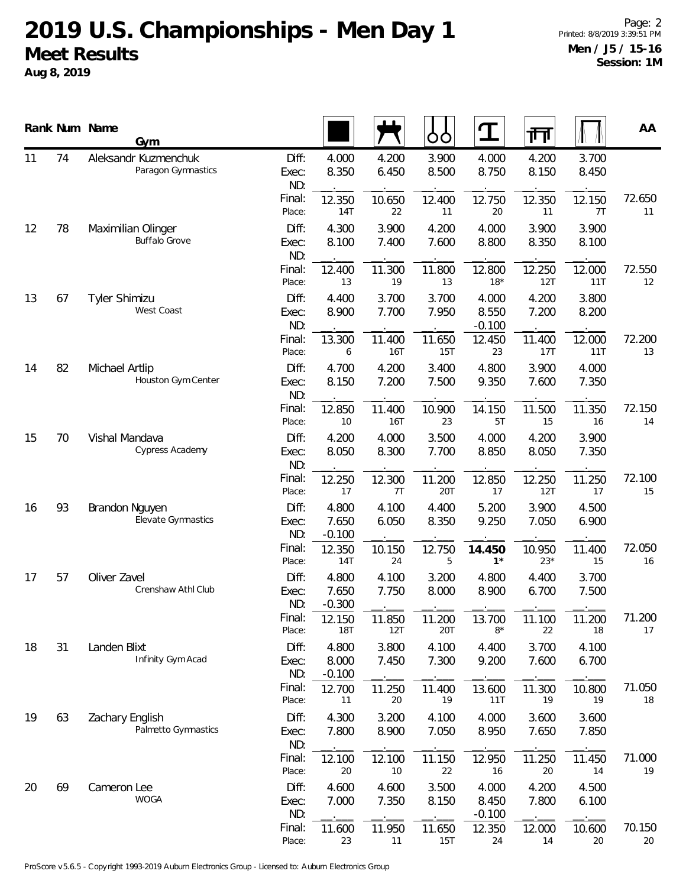## **2019 U.S. Championships - Men Day 1 Meet Results**

**Aug 8, 2019**

|    |    | Rank Num Name<br>Gym                       |                       |                            |                      | ŌÒ             | $\mathbf T$                | 帀               |                | AA           |
|----|----|--------------------------------------------|-----------------------|----------------------------|----------------------|----------------|----------------------------|-----------------|----------------|--------------|
| 11 | 74 | Aleksandr Kuzmenchuk<br>Paragon Gymnastics | Diff:<br>Exec:<br>ND: | 4.000<br>8.350             | 4.200<br>6.450       | 3.900<br>8.500 | 4.000<br>8.750             | 4.200<br>8.150  | 3.700<br>8.450 |              |
|    |    |                                            | Final:<br>Place:      | 12.350<br>14T              | 10.650<br>22         | 12.400<br>11   | 12.750<br>20               | 12.350<br>11    | 12.150<br>7T   | 72.650<br>11 |
| 12 | 78 | Maximilian Olinger<br><b>Buffalo Grove</b> | Diff:<br>Exec:<br>ND: | 4.300<br>8.100             | 3.900<br>7.400       | 4.200<br>7.600 | 4.000<br>8.800             | 3.900<br>8.350  | 3.900<br>8.100 |              |
|    |    |                                            | Final:<br>Place:      | 12.400<br>13               | 11.300<br>19         | 11.800<br>13   | 12.800<br>$18*$            | 12.250<br>12T   | 12.000<br>11T  | 72.550<br>12 |
| 13 | 67 | Tyler Shimizu<br>West Coast                | Diff:<br>Exec:<br>ND: | 4.400<br>8.900             | 3.700<br>7.700       | 3.700<br>7.950 | 4.000<br>8.550<br>$-0.100$ | 4.200<br>7.200  | 3.800<br>8.200 |              |
|    |    |                                            | Final:<br>Place:      | 13.300<br>6                | 11.400<br>16T        | 11.650<br>15T  | 12.450<br>23               | 11.400<br>17T   | 12.000<br>11T  | 72.200<br>13 |
| 14 | 82 | Michael Artlip<br>Houston Gym Center       | Diff:<br>Exec:<br>ND: | 4.700<br>8.150             | 4.200<br>7.200       | 3.400<br>7.500 | 4.800<br>9.350             | 3.900<br>7.600  | 4.000<br>7.350 |              |
|    |    |                                            | Final:<br>Place:      | 12.850<br>10               | 11.400<br><b>16T</b> | 10.900<br>23   | 14.150<br>5T               | 11.500<br>15    | 11.350<br>16   | 72.150<br>14 |
| 15 | 70 | Vishal Mandava<br>Cypress Academy          | Diff:<br>Exec:<br>ND: | 4.200<br>8.050             | 4.000<br>8.300       | 3.500<br>7.700 | 4.000<br>8.850             | 4.200<br>8.050  | 3.900<br>7.350 |              |
|    |    |                                            | Final:<br>Place:      | 12.250<br>17               | 12.300<br>7T         | 11.200<br>20T  | 12.850<br>17               | 12.250<br>12T   | 11.250<br>17   | 72.100<br>15 |
| 16 | 93 | Brandon Nguyen<br>Elevate Gymnastics       | Diff:<br>Exec:<br>ND: | 4.800<br>7.650<br>$-0.100$ | 4.100<br>6.050       | 4.400<br>8.350 | 5.200<br>9.250             | 3.900<br>7.050  | 4.500<br>6.900 |              |
|    |    |                                            | Final:<br>Place:      | 12.350<br>14T              | 10.150<br>24         | 12.750<br>5    | 14.450<br>$1^{\star}$      | 10.950<br>$23*$ | 11.400<br>15   | 72.050<br>16 |
| 17 | 57 | Oliver Zavel<br>Crenshaw Athl Club         | Diff:<br>Exec:<br>ND: | 4.800<br>7.650<br>$-0.300$ | 4.100<br>7.750       | 3.200<br>8.000 | 4.800<br>8.900             | 4.400<br>6.700  | 3.700<br>7.500 |              |
|    |    |                                            | Final:<br>Place:      | 12.150<br>18T              | 11.850<br>12T        | 11.200<br>20T  | 13.700<br>$8*$             | 11.100<br>22    | 11.200<br>18   | 71.200<br>17 |
| 18 | 31 | Landen Blixt<br>Infinity Gym Acad          | Diff:<br>Exec:<br>ND: | 4.800<br>8.000<br>$-0.100$ | 3.800<br>7.450       | 4.100<br>7.300 | 4.400<br>9.200             | 3.700<br>7.600  | 4.100<br>6.700 |              |
|    |    |                                            | Final:<br>Place:      | 12.700<br>11               | 11.250<br>20         | 11.400<br>19   | 13.600<br>11T              | 11.300<br>19    | 10.800<br>19   | 71.050<br>18 |
| 19 | 63 | Zachary English<br>Palmetto Gymnastics     | Diff:<br>Exec:<br>ND: | 4.300<br>7.800             | 3.200<br>8.900       | 4.100<br>7.050 | 4.000<br>8.950             | 3.600<br>7.650  | 3.600<br>7.850 |              |
|    |    |                                            | Final:<br>Place:      | 12.100<br>20               | 12.100<br>10         | 11.150<br>22   | 12.950<br>16               | 11.250<br>20    | 11.450<br>14   | 71.000<br>19 |
| 20 | 69 | Cameron Lee<br><b>WOGA</b>                 | Diff:<br>Exec:<br>ND: | 4.600<br>7.000             | 4.600<br>7.350       | 3.500<br>8.150 | 4.000<br>8.450<br>$-0.100$ | 4.200<br>7.800  | 4.500<br>6.100 |              |
|    |    |                                            | Final:<br>Place:      | 11.600<br>23               | 11.950<br>11         | 11.650<br>15T  | 12.350<br>24               | 12.000<br>14    | 10.600<br>20   | 70.150<br>20 |